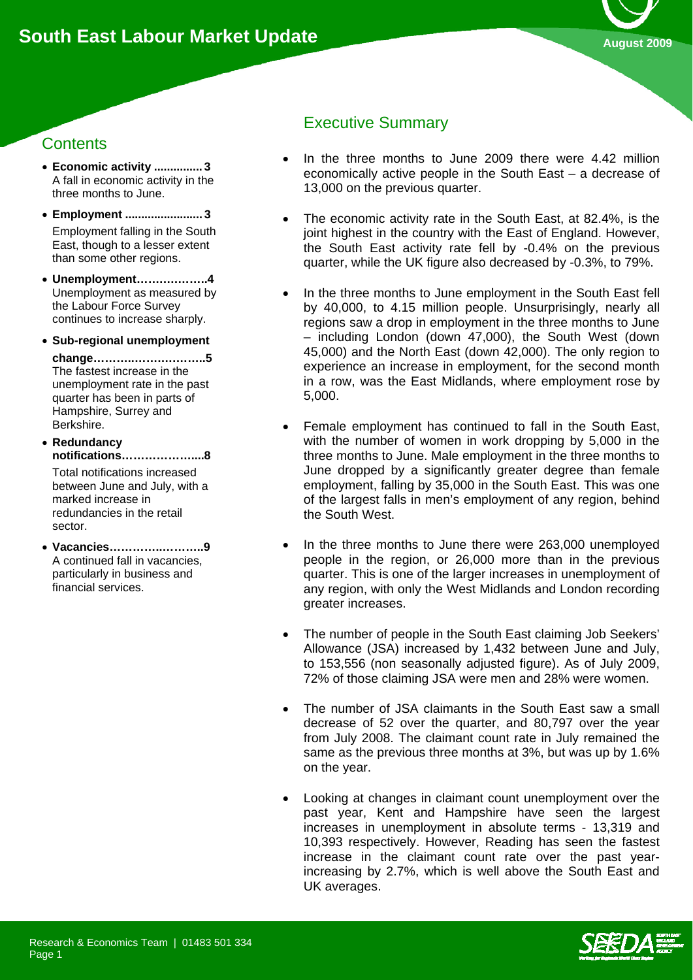

# **Contents**

- **Economic activity ............... 3**  A fall in economic activity in the three months to June.
- **Employment ........................ 3**  Employment falling in the South East, though to a lesser extent than some other regions.
- **Unemployment…….….……..4**  Unemployment as measured by the Labour Force Survey continues to increase sharply.
- **Sub-regional unemployment**

**change………..…….….……..5**  The fastest increase in the unemployment rate in the past quarter has been in parts of Hampshire, Surrey and Berkshire.

• **Redundancy notifications………………....8**  Total notifications increased between June and July, with a marked increase in redundancies in the retail

• **Vacancies…………..………..9**  A continued fall in vacancies, particularly in business and financial services.

sector.

# Executive Summary

- In the three months to June 2009 there were 4.42 million economically active people in the South East – a decrease of 13,000 on the previous quarter.
- The economic activity rate in the South East, at 82.4%, is the joint highest in the country with the East of England. However, the South East activity rate fell by -0.4% on the previous quarter, while the UK figure also decreased by -0.3%, to 79%.
- In the three months to June employment in the South East fell by 40,000, to 4.15 million people. Unsurprisingly, nearly all regions saw a drop in employment in the three months to June – including London (down 47,000), the South West (down 45,000) and the North East (down 42,000). The only region to experience an increase in employment, for the second month in a row, was the East Midlands, where employment rose by 5,000.
- Female employment has continued to fall in the South East, with the number of women in work dropping by 5,000 in the three months to June. Male employment in the three months to June dropped by a significantly greater degree than female employment, falling by 35,000 in the South East. This was one of the largest falls in men's employment of any region, behind the South West.
- In the three months to June there were 263,000 unemployed people in the region, or 26,000 more than in the previous quarter. This is one of the larger increases in unemployment of any region, with only the West Midlands and London recording greater increases.
- The number of people in the South East claiming Job Seekers' Allowance (JSA) increased by 1,432 between June and July, to 153,556 (non seasonally adjusted figure). As of July 2009, 72% of those claiming JSA were men and 28% were women.
- The number of JSA claimants in the South East saw a small decrease of 52 over the quarter, and 80,797 over the year from July 2008. The claimant count rate in July remained the same as the previous three months at 3%, but was up by 1.6% on the year.
- Looking at changes in claimant count unemployment over the past year, Kent and Hampshire have seen the largest increases in unemployment in absolute terms - 13,319 and 10,393 respectively. However, Reading has seen the fastest increase in the claimant count rate over the past yearincreasing by 2.7%, which is well above the South East and UK averages.

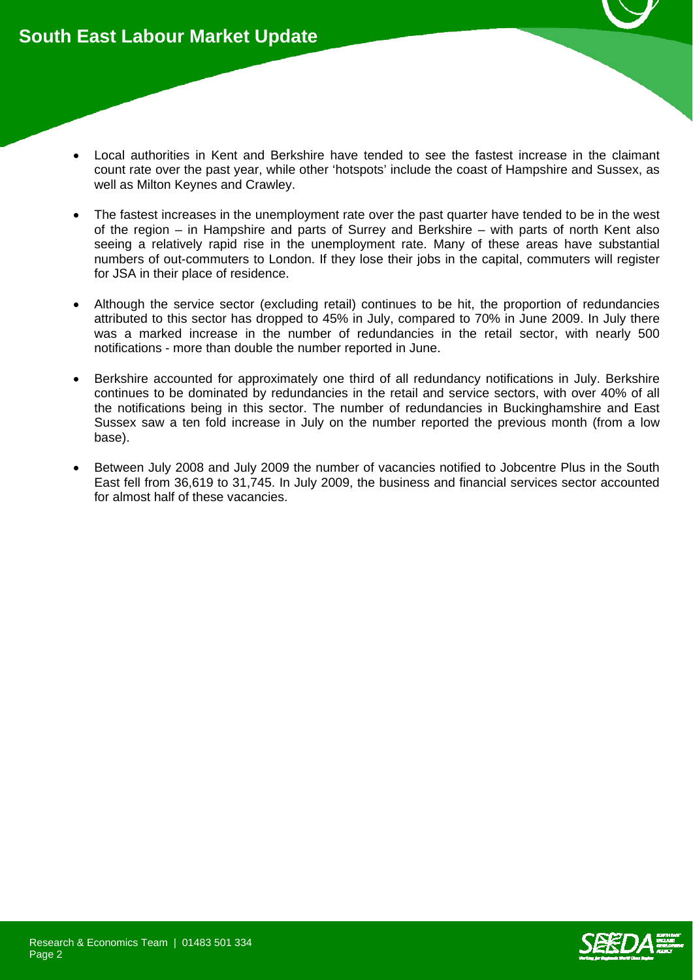- Local authorities in Kent and Berkshire have tended to see the fastest increase in the claimant count rate over the past year, while other 'hotspots' include the coast of Hampshire and Sussex, as well as Milton Keynes and Crawley.
- The fastest increases in the unemployment rate over the past quarter have tended to be in the west of the region – in Hampshire and parts of Surrey and Berkshire – with parts of north Kent also seeing a relatively rapid rise in the unemployment rate. Many of these areas have substantial numbers of out-commuters to London. If they lose their jobs in the capital, commuters will register for JSA in their place of residence.
- Although the service sector (excluding retail) continues to be hit, the proportion of redundancies attributed to this sector has dropped to 45% in July, compared to 70% in June 2009. In July there was a marked increase in the number of redundancies in the retail sector, with nearly 500 notifications - more than double the number reported in June.
- Berkshire accounted for approximately one third of all redundancy notifications in July. Berkshire continues to be dominated by redundancies in the retail and service sectors, with over 40% of all the notifications being in this sector. The number of redundancies in Buckinghamshire and East Sussex saw a ten fold increase in July on the number reported the previous month (from a low base).
- Between July 2008 and July 2009 the number of vacancies notified to Jobcentre Plus in the South East fell from 36,619 to 31,745. In July 2009, the business and financial services sector accounted for almost half of these vacancies.

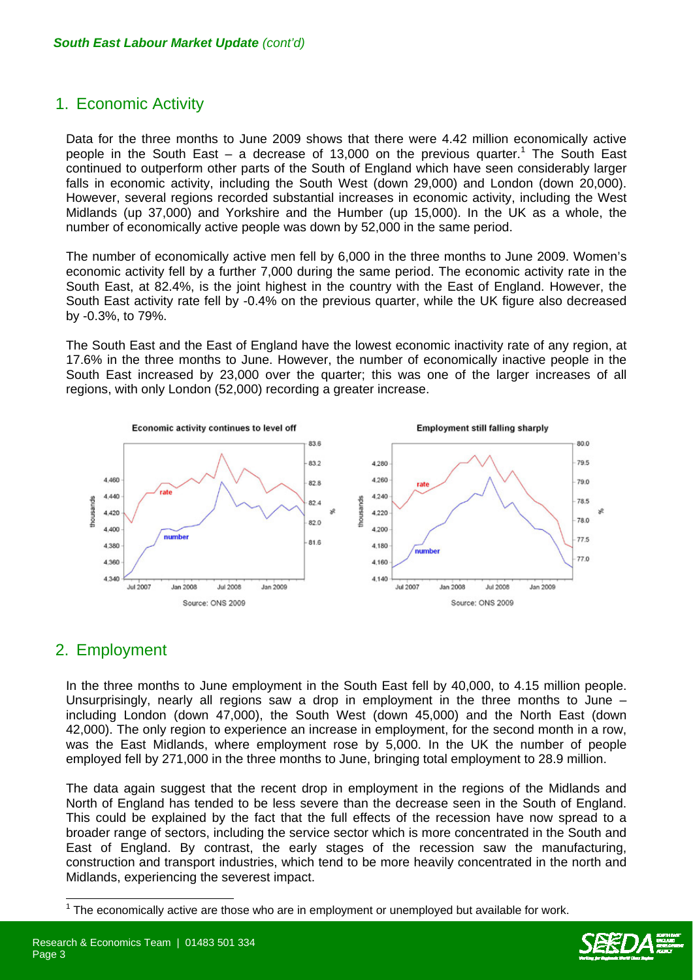## 1. Economic Activity

Data for the three months to June 2009 shows that there were 4.42 million economically active people in the South East – a decrease of 13,000 on the previous quarter.<sup>1</sup> The South East continued to outperform other parts of the South of England which have seen considerably larger falls in economic activity, including the South West (down 29,000) and London (down 20,000). However, several regions recorded substantial increases in economic activity, including the West Midlands (up 37,000) and Yorkshire and the Humber (up 15,000). In the UK as a whole, the number of economically active people was down by 52,000 in the same period.

The number of economically active men fell by 6,000 in the three months to June 2009. Women's economic activity fell by a further 7,000 during the same period. The economic activity rate in the South East, at 82.4%, is the joint highest in the country with the East of England. However, the South East activity rate fell by -0.4% on the previous quarter, while the UK figure also decreased by -0.3%, to 79%.

The South East and the East of England have the lowest economic inactivity rate of any region, at 17.6% in the three months to June. However, the number of economically inactive people in the South East increased by 23,000 over the quarter; this was one of the larger increases of all regions, with only London (52,000) recording a greater increase.



## 2. Employment

Page 3

 $\overline{a}$ 

In the three months to June employment in the South East fell by 40,000, to 4.15 million people. Unsurprisingly, nearly all regions saw a drop in employment in the three months to June – including London (down 47,000), the South West (down 45,000) and the North East (down 42,000). The only region to experience an increase in employment, for the second month in a row, was the East Midlands, where employment rose by 5,000. In the UK the number of people employed fell by 271,000 in the three months to June, bringing total employment to 28.9 million.

The data again suggest that the recent drop in employment in the regions of the Midlands and North of England has tended to be less severe than the decrease seen in the South of England. This could be explained by the fact that the full effects of the recession have now spread to a broader range of sectors, including the service sector which is more concentrated in the South and East of England. By contrast, the early stages of the recession saw the manufacturing, construction and transport industries, which tend to be more heavily concentrated in the north and Midlands, experiencing the severest impact.

 $1$  The economically active are those who are in employment or unemployed but available for work.



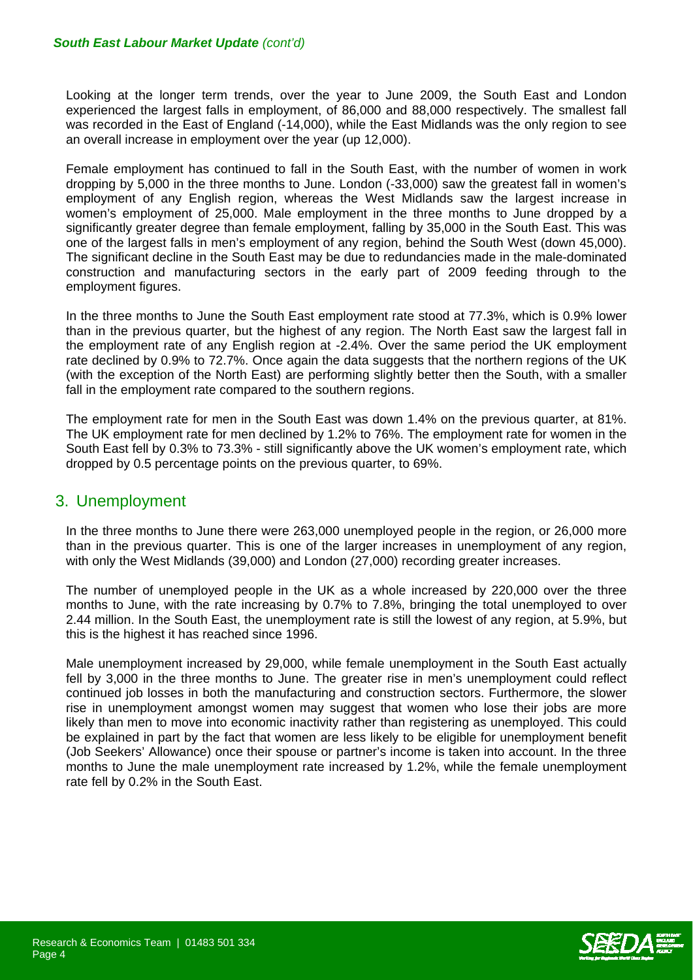#### *South East Labour Market Update (cont'd)*

Looking at the longer term trends, over the year to June 2009, the South East and London experienced the largest falls in employment, of 86,000 and 88,000 respectively. The smallest fall was recorded in the East of England (-14,000), while the East Midlands was the only region to see an overall increase in employment over the year (up 12,000).

Female employment has continued to fall in the South East, with the number of women in work dropping by 5,000 in the three months to June. London (-33,000) saw the greatest fall in women's employment of any English region, whereas the West Midlands saw the largest increase in women's employment of 25,000. Male employment in the three months to June dropped by a significantly greater degree than female employment, falling by 35,000 in the South East. This was one of the largest falls in men's employment of any region, behind the South West (down 45,000). The significant decline in the South East may be due to redundancies made in the male-dominated construction and manufacturing sectors in the early part of 2009 feeding through to the employment figures.

In the three months to June the South East employment rate stood at 77.3%, which is 0.9% lower than in the previous quarter, but the highest of any region. The North East saw the largest fall in the employment rate of any English region at -2.4%. Over the same period the UK employment rate declined by 0.9% to 72.7%. Once again the data suggests that the northern regions of the UK (with the exception of the North East) are performing slightly better then the South, with a smaller fall in the employment rate compared to the southern regions.

The employment rate for men in the South East was down 1.4% on the previous quarter, at 81%. The UK employment rate for men declined by 1.2% to 76%. The employment rate for women in the South East fell by 0.3% to 73.3% - still significantly above the UK women's employment rate, which dropped by 0.5 percentage points on the previous quarter, to 69%.

#### 3. Unemployment

In the three months to June there were 263,000 unemployed people in the region, or 26,000 more than in the previous quarter. This is one of the larger increases in unemployment of any region, with only the West Midlands (39,000) and London (27,000) recording greater increases.

The number of unemployed people in the UK as a whole increased by 220,000 over the three months to June, with the rate increasing by 0.7% to 7.8%, bringing the total unemployed to over 2.44 million. In the South East, the unemployment rate is still the lowest of any region, at 5.9%, but this is the highest it has reached since 1996.

Male unemployment increased by 29,000, while female unemployment in the South East actually fell by 3,000 in the three months to June. The greater rise in men's unemployment could reflect continued job losses in both the manufacturing and construction sectors. Furthermore, the slower rise in unemployment amongst women may suggest that women who lose their jobs are more likely than men to move into economic inactivity rather than registering as unemployed. This could be explained in part by the fact that women are less likely to be eligible for unemployment benefit (Job Seekers' Allowance) once their spouse or partner's income is taken into account. In the three months to June the male unemployment rate increased by 1.2%, while the female unemployment rate fell by 0.2% in the South East.

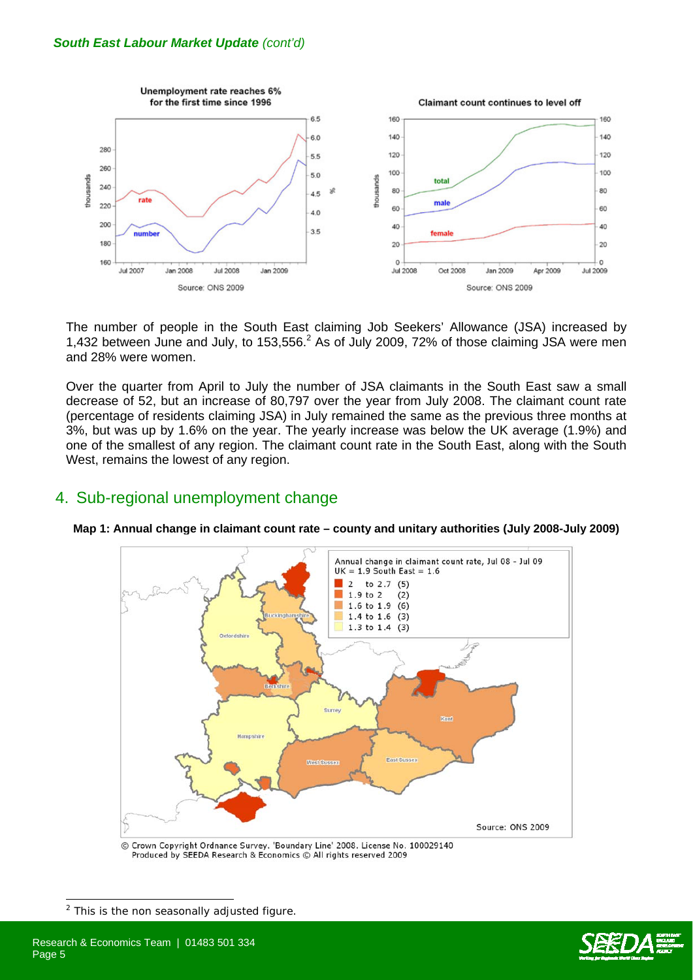

The number of people in the South East claiming Job Seekers' Allowance (JSA) increased by 1,432 between June and July, to 153,556. $^2$  As of July 2009, 72% of those claiming JSA were men and 28% were women.

Over the quarter from April to July the number of JSA claimants in the South East saw a small decrease of 52, but an increase of 80,797 over the year from July 2008. The claimant count rate (percentage of residents claiming JSA) in July remained the same as the previous three months at 3%, but was up by 1.6% on the year. The yearly increase was below the UK average (1.9%) and one of the smallest of any region. The claimant count rate in the South East, along with the South West, remains the lowest of any region.

## 4. Sub-regional unemployment change



**Map 1: Annual change in claimant count rate – county and unitary authorities (July 2008-July 2009)**

Crown Copyright Ordnance Survey. 'Boundary Line' 2008. License No. 100029140 Produced by SEEDA Research & Economics @ All rights reserved 2009

 $2$  This is the non seasonally adjusted figure.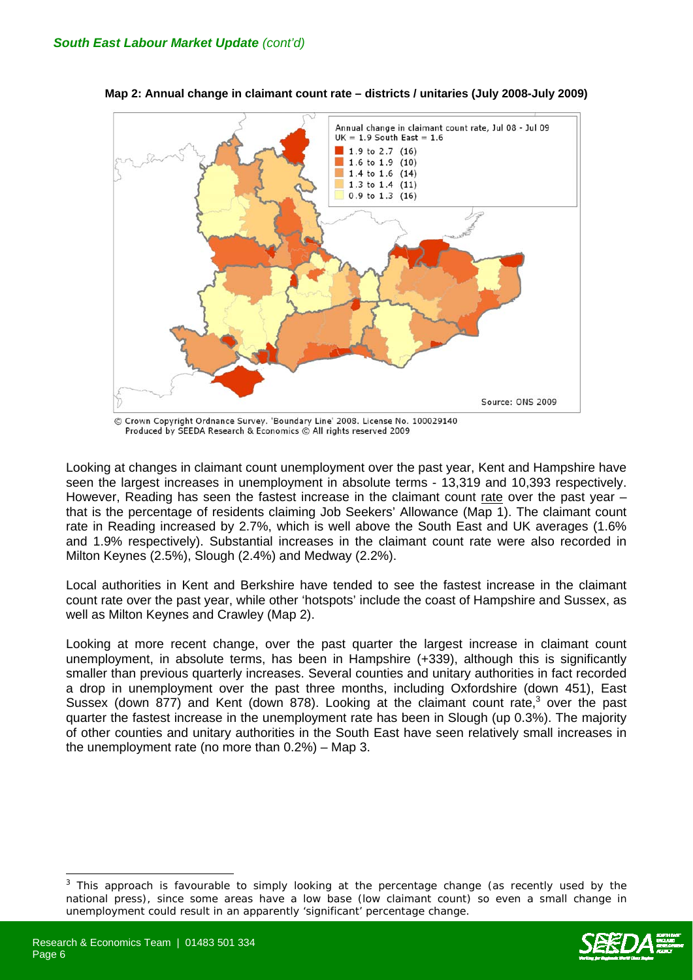

**Map 2: Annual change in claimant count rate – districts / unitaries (July 2008-July 2009)** 

© Crown Copyright Ordnance Survey. 'Boundary Line' 2008. License No. 100029140 Produced by SEEDA Research & Economics @ All rights reserved 2009

Looking at changes in claimant count unemployment over the past year, Kent and Hampshire have seen the largest increases in unemployment in absolute terms - 13,319 and 10,393 respectively. However, Reading has seen the fastest increase in the claimant count rate over the past year that is the percentage of residents claiming Job Seekers' Allowance (Map 1). The claimant count rate in Reading increased by 2.7%, which is well above the South East and UK averages (1.6% and 1.9% respectively). Substantial increases in the claimant count rate were also recorded in Milton Keynes (2.5%), Slough (2.4%) and Medway (2.2%).

Local authorities in Kent and Berkshire have tended to see the fastest increase in the claimant count rate over the past year, while other 'hotspots' include the coast of Hampshire and Sussex, as well as Milton Keynes and Crawley (Map 2).

Looking at more recent change, over the past quarter the largest increase in claimant count unemployment, in absolute terms, has been in Hampshire (+339), although this is significantly smaller than previous quarterly increases. Several counties and unitary authorities in fact recorded a drop in unemployment over the past three months, including Oxfordshire (down 451), East Sussex (down 877) and Kent (down 878). Looking at the claimant count rate, $3$  over the past quarter the fastest increase in the unemployment rate has been in Slough (up 0.3%). The majority of other counties and unitary authorities in the South East have seen relatively small increases in the unemployment rate (no more than 0.2%) – Map 3.

<sup>3</sup> This approach is favourable to simply looking at the percentage change (as recently used by the national press), since some areas have a low base (low claimant count) so even a small change in unemployment could result in an apparently 'significant' percentage change.

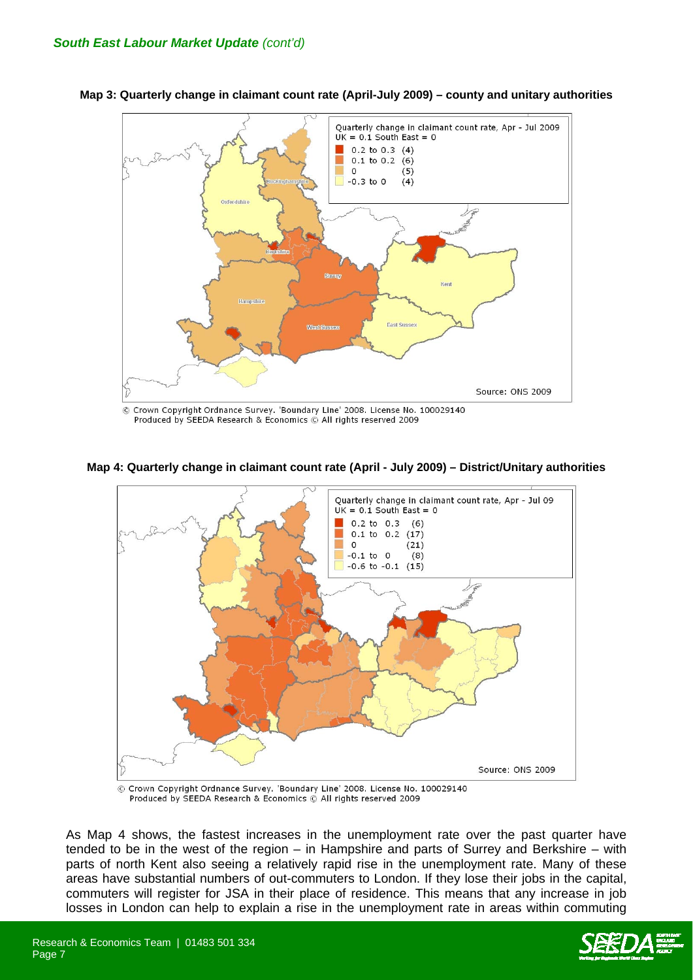

**Map 3: Quarterly change in claimant count rate (April-July 2009) – county and unitary authorities** 

© Crown Copyright Ordnance Survey. 'Boundary Line' 2008. License No. 100029140 Produced by SEEDA Research & Economics © All rights reserved 2009

**Map 4: Quarterly change in claimant count rate (April - July 2009) – District/Unitary authorities**



© Crown Copyright Ordnance Survey. 'Boundary Line' 2008. License No. 100029140 Produced by SEEDA Research & Economics © All rights reserved 2009

As Map 4 shows, the fastest increases in the unemployment rate over the past quarter have tended to be in the west of the region – in Hampshire and parts of Surrey and Berkshire – with parts of north Kent also seeing a relatively rapid rise in the unemployment rate. Many of these areas have substantial numbers of out-commuters to London. If they lose their jobs in the capital, commuters will register for JSA in their place of residence. This means that any increase in job losses in London can help to explain a rise in the unemployment rate in areas within commuting

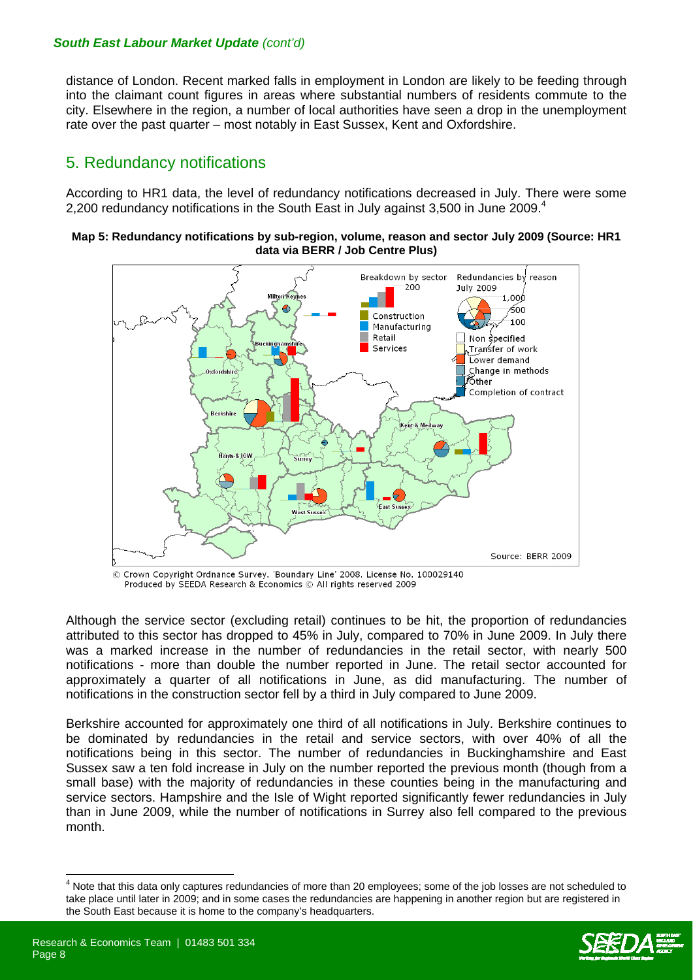#### *South East Labour Market Update (cont'd)*

distance of London. Recent marked falls in employment in London are likely to be feeding through into the claimant count figures in areas where substantial numbers of residents commute to the city. Elsewhere in the region, a number of local authorities have seen a drop in the unemployment rate over the past quarter – most notably in East Sussex, Kent and Oxfordshire.

## 5. Redundancy notifications

According to HR1 data, the level of redundancy notifications decreased in July. There were some 2,200 redundancy notifications in the South East in July against 3,500 in June 2009.<sup>4</sup>

#### **Map 5: Redundancy notifications by sub-region, volume, reason and sector July 2009 (Source: HR1 data via BERR / Job Centre Plus)**



© Crown Copyright Ordnance Survey. 'Boundary Line' 2008. License No. 100029140 Produced by SEEDA Research & Economics © All rights reserved 2009

Although the service sector (excluding retail) continues to be hit, the proportion of redundancies attributed to this sector has dropped to 45% in July, compared to 70% in June 2009. In July there was a marked increase in the number of redundancies in the retail sector, with nearly 500 notifications - more than double the number reported in June. The retail sector accounted for approximately a quarter of all notifications in June, as did manufacturing. The number of notifications in the construction sector fell by a third in July compared to June 2009.

Berkshire accounted for approximately one third of all notifications in July. Berkshire continues to be dominated by redundancies in the retail and service sectors, with over 40% of all the notifications being in this sector. The number of redundancies in Buckinghamshire and East Sussex saw a ten fold increase in July on the number reported the previous month (though from a small base) with the majority of redundancies in these counties being in the manufacturing and service sectors. Hampshire and the Isle of Wight reported significantly fewer redundancies in July than in June 2009, while the number of notifications in Surrey also fell compared to the previous month.

Note that this data only captures redundancies of more than 20 employees; some of the job losses are not scheduled to take place until later in 2009; and in some cases the redundancies are happening in another region but are registered in the South East because it is home to the company's headquarters.